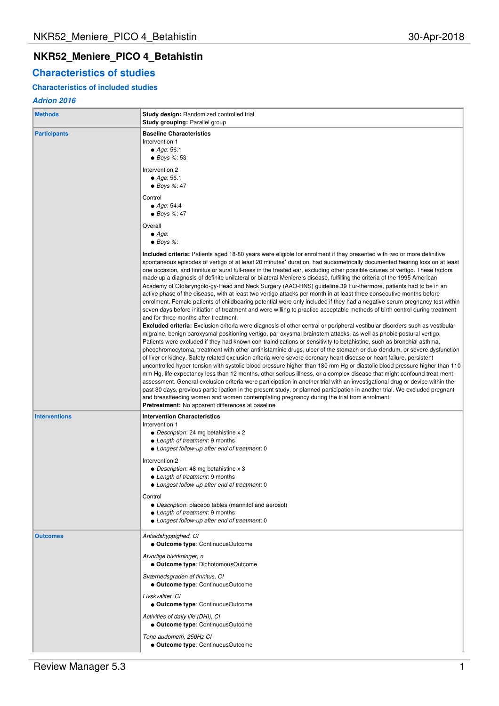# **NKR52\_Meniere\_PICO 4\_Betahistin**

# **Characteristics of studies**

# **Characteristics of included studies**

## **Adrion 2016**

| <b>Methods</b>       | <b>Study design:</b> Randomized controlled trial<br><b>Study grouping: Parallel group</b>                                                                                                                                                                                                                                                                                                                                                                                                                                                                                                                                                                                                                                                                                                                                                                                                                                                                                                                                                                                                                                                                                                                                                                                                                                                                                                                                                                                                                                                                                                                                                                                                                                                                                                                                                                                                                                                                                                                                                                                                                                                                                                                                                                                                                                                                                                    |  |  |  |  |  |
|----------------------|----------------------------------------------------------------------------------------------------------------------------------------------------------------------------------------------------------------------------------------------------------------------------------------------------------------------------------------------------------------------------------------------------------------------------------------------------------------------------------------------------------------------------------------------------------------------------------------------------------------------------------------------------------------------------------------------------------------------------------------------------------------------------------------------------------------------------------------------------------------------------------------------------------------------------------------------------------------------------------------------------------------------------------------------------------------------------------------------------------------------------------------------------------------------------------------------------------------------------------------------------------------------------------------------------------------------------------------------------------------------------------------------------------------------------------------------------------------------------------------------------------------------------------------------------------------------------------------------------------------------------------------------------------------------------------------------------------------------------------------------------------------------------------------------------------------------------------------------------------------------------------------------------------------------------------------------------------------------------------------------------------------------------------------------------------------------------------------------------------------------------------------------------------------------------------------------------------------------------------------------------------------------------------------------------------------------------------------------------------------------------------------------|--|--|--|--|--|
| <b>Participants</b>  | <b>Baseline Characteristics</b><br>Intervention 1<br>• Age: $56.1$<br>$\bullet$ Boys %: 53<br>Intervention 2<br>$\bullet$ Age: 56.1<br>$\bullet$ Boys %: 47                                                                                                                                                                                                                                                                                                                                                                                                                                                                                                                                                                                                                                                                                                                                                                                                                                                                                                                                                                                                                                                                                                                                                                                                                                                                                                                                                                                                                                                                                                                                                                                                                                                                                                                                                                                                                                                                                                                                                                                                                                                                                                                                                                                                                                  |  |  |  |  |  |
|                      | Control<br>• Age: $54.4$<br>$\bullet$ Boys %: 47                                                                                                                                                                                                                                                                                                                                                                                                                                                                                                                                                                                                                                                                                                                                                                                                                                                                                                                                                                                                                                                                                                                                                                                                                                                                                                                                                                                                                                                                                                                                                                                                                                                                                                                                                                                                                                                                                                                                                                                                                                                                                                                                                                                                                                                                                                                                             |  |  |  |  |  |
|                      | Overall<br>$\bullet$ Age:<br>$\bullet$ Boys %:                                                                                                                                                                                                                                                                                                                                                                                                                                                                                                                                                                                                                                                                                                                                                                                                                                                                                                                                                                                                                                                                                                                                                                                                                                                                                                                                                                                                                                                                                                                                                                                                                                                                                                                                                                                                                                                                                                                                                                                                                                                                                                                                                                                                                                                                                                                                               |  |  |  |  |  |
|                      | <b>Included criteria:</b> Patients aged 18-80 years were eligible for enrolment if they presented with two or more definitive<br>spontaneous episodes of vertigo of at least 20 minutes' duration, had audiometrically documented hearing loss on at least<br>one occasion, and tinnitus or aural full-ness in the treated ear, excluding other possible causes of vertigo. These factors<br>made up a diagnosis of definite unilateral or bilateral Meniere's disease, fulfilling the criteria of the 1995 American<br>Academy of Otolaryngolo-gy-Head and Neck Surgery (AAO-HNS) guideline.39 Fur-thermore, patients had to be in an<br>active phase of the disease, with at least two vertigo attacks per month in at least three consecutive months before<br>enrolment. Female patients of childbearing potential were only included if they had a negative serum pregnancy test within<br>seven days before initiation of treatment and were willing to practice acceptable methods of birth control during treatment<br>and for three months after treatment.<br><b>Excluded criteria:</b> Exclusion criteria were diagnosis of other central or peripheral vestibular disorders such as vestibular<br>migraine, benign paroxysmal positioning vertigo, par-oxysmal brainstem attacks, as well as phobic postural vertigo.<br>Patients were excluded if they had known con-traindications or sensitivity to betahistine, such as bronchial asthma,<br>pheochromocytoma, treatment with other antihistaminic drugs, ulcer of the stomach or duo-dendum, or severe dysfunction<br>of liver or kidney. Safety related exclusion criteria were severe coronary heart disease or heart failure, persistent<br>uncontrolled hyper-tension with systolic blood pressure higher than 180 mm Hg or diastolic blood pressure higher than 110<br>mm Hg, life expectancy less than 12 months, other serious illness, or a complex disease that might confound treat-ment<br>assessment. General exclusion criteria were participation in another trial with an investigational drug or device within the<br>past 30 days, previous partic-ipation in the present study, or planned participation in another trial. We excluded pregnant<br>and breastfeeding women and women contemplating pregnancy during the trial from enrolment.<br><b>Pretreatment:</b> No apparent differences at baseline |  |  |  |  |  |
| <b>Interventions</b> | <b>Intervention Characteristics</b><br>Intervention 1<br>• Description: 24 mg betahistine x 2<br>• Length of treatment: 9 months<br>• Longest follow-up after end of treatment: 0                                                                                                                                                                                                                                                                                                                                                                                                                                                                                                                                                                                                                                                                                                                                                                                                                                                                                                                                                                                                                                                                                                                                                                                                                                                                                                                                                                                                                                                                                                                                                                                                                                                                                                                                                                                                                                                                                                                                                                                                                                                                                                                                                                                                            |  |  |  |  |  |
|                      | Intervention 2<br>• Description: 48 mg betahistine x 3<br>• Length of treatment: 9 months<br><b>Longest follow-up after end of treatment: 0</b>                                                                                                                                                                                                                                                                                                                                                                                                                                                                                                                                                                                                                                                                                                                                                                                                                                                                                                                                                                                                                                                                                                                                                                                                                                                                                                                                                                                                                                                                                                                                                                                                                                                                                                                                                                                                                                                                                                                                                                                                                                                                                                                                                                                                                                              |  |  |  |  |  |
|                      | Control<br>• Description: placebo tables (mannitol and aerosol)<br>• Length of treatment: 9 months<br>• Longest follow-up after end of treatment: 0                                                                                                                                                                                                                                                                                                                                                                                                                                                                                                                                                                                                                                                                                                                                                                                                                                                                                                                                                                                                                                                                                                                                                                                                                                                                                                                                                                                                                                                                                                                                                                                                                                                                                                                                                                                                                                                                                                                                                                                                                                                                                                                                                                                                                                          |  |  |  |  |  |
| <b>Outcomes</b>      | Anfaldshyppighed, CI<br>• Outcome type: ContinuousOutcome                                                                                                                                                                                                                                                                                                                                                                                                                                                                                                                                                                                                                                                                                                                                                                                                                                                                                                                                                                                                                                                                                                                                                                                                                                                                                                                                                                                                                                                                                                                                                                                                                                                                                                                                                                                                                                                                                                                                                                                                                                                                                                                                                                                                                                                                                                                                    |  |  |  |  |  |
|                      | Alvorlige bivirkninger, n<br>• Outcome type: DichotomousOutcome                                                                                                                                                                                                                                                                                                                                                                                                                                                                                                                                                                                                                                                                                                                                                                                                                                                                                                                                                                                                                                                                                                                                                                                                                                                                                                                                                                                                                                                                                                                                                                                                                                                                                                                                                                                                                                                                                                                                                                                                                                                                                                                                                                                                                                                                                                                              |  |  |  |  |  |
|                      | Sværhedsgraden af tinnitus, CI<br>• Outcome type: ContinuousOutcome                                                                                                                                                                                                                                                                                                                                                                                                                                                                                                                                                                                                                                                                                                                                                                                                                                                                                                                                                                                                                                                                                                                                                                                                                                                                                                                                                                                                                                                                                                                                                                                                                                                                                                                                                                                                                                                                                                                                                                                                                                                                                                                                                                                                                                                                                                                          |  |  |  |  |  |
|                      | Livskvalitet, CI<br>• Outcome type: ContinuousOutcome                                                                                                                                                                                                                                                                                                                                                                                                                                                                                                                                                                                                                                                                                                                                                                                                                                                                                                                                                                                                                                                                                                                                                                                                                                                                                                                                                                                                                                                                                                                                                                                                                                                                                                                                                                                                                                                                                                                                                                                                                                                                                                                                                                                                                                                                                                                                        |  |  |  |  |  |
|                      | Activities of daily life (DHI), CI<br>• Outcome type: ContinuousOutcome                                                                                                                                                                                                                                                                                                                                                                                                                                                                                                                                                                                                                                                                                                                                                                                                                                                                                                                                                                                                                                                                                                                                                                                                                                                                                                                                                                                                                                                                                                                                                                                                                                                                                                                                                                                                                                                                                                                                                                                                                                                                                                                                                                                                                                                                                                                      |  |  |  |  |  |
|                      | Tone audometri, 250Hz CI<br>• Outcome type: ContinuousOutcome                                                                                                                                                                                                                                                                                                                                                                                                                                                                                                                                                                                                                                                                                                                                                                                                                                                                                                                                                                                                                                                                                                                                                                                                                                                                                                                                                                                                                                                                                                                                                                                                                                                                                                                                                                                                                                                                                                                                                                                                                                                                                                                                                                                                                                                                                                                                |  |  |  |  |  |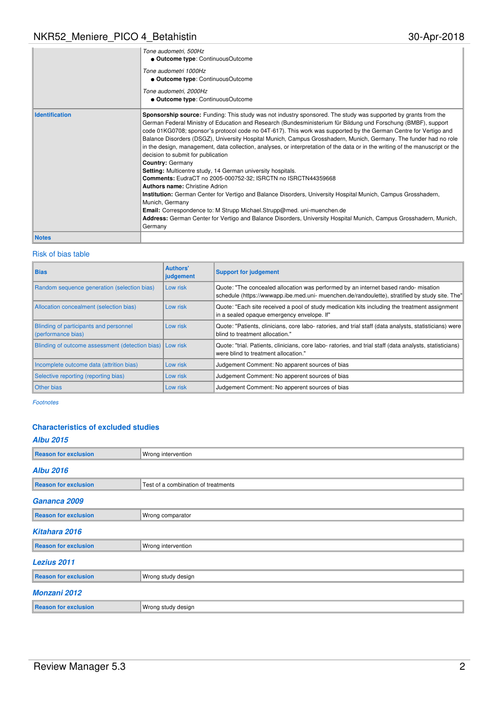|                       | Tone audometri, 500Hz<br>• Outcome type: ContinuousOutcome<br>Tone audometri 1000Hz                                                                                                                                                                                                                                                                                                                                                                                                                                                                                                                                                                                                                                                                                                                                                                                                                                                                                                                                                                                                                                                                                                                         |
|-----------------------|-------------------------------------------------------------------------------------------------------------------------------------------------------------------------------------------------------------------------------------------------------------------------------------------------------------------------------------------------------------------------------------------------------------------------------------------------------------------------------------------------------------------------------------------------------------------------------------------------------------------------------------------------------------------------------------------------------------------------------------------------------------------------------------------------------------------------------------------------------------------------------------------------------------------------------------------------------------------------------------------------------------------------------------------------------------------------------------------------------------------------------------------------------------------------------------------------------------|
|                       | • Outcome type: ContinuousOutcome                                                                                                                                                                                                                                                                                                                                                                                                                                                                                                                                                                                                                                                                                                                                                                                                                                                                                                                                                                                                                                                                                                                                                                           |
|                       | Tone audometri, 2000Hz<br>• Outcome type: ContinuousOutcome                                                                                                                                                                                                                                                                                                                                                                                                                                                                                                                                                                                                                                                                                                                                                                                                                                                                                                                                                                                                                                                                                                                                                 |
| <b>Identification</b> | Sponsorship source: Funding: This study was not industry sponsored. The study was supported by grants from the<br>German Federal Ministry of Education and Research (Bundesministerium für Bildung und Forschung (BMBF), support<br>code 01KG0708; sponsor's protocol code no 04T-617). This work was supported by the German Centre for Vertigo and<br>Balance Disorders (DSGZ), University Hospital Munich, Campus Grosshadern, Munich, Germany. The funder had no role<br>in the design, management, data collection, analyses, or interpretation of the data or in the writing of the manuscript or the<br>decision to submit for publication<br><b>Country: Germany</b><br>Setting: Multicentre study, 14 German university hospitals.<br><b>Comments: EudraCT no 2005-000752-32; ISRCTN no ISRCTN44359668</b><br>Authors name: Christine Adrion<br>Institution: German Center for Vertigo and Balance Disorders, University Hospital Munich, Campus Grosshadern,<br>Munich, Germany<br><b>Email:</b> Correspondence to: M Strupp Michael. Strupp@med. uni-muenchen.de<br>Address: German Center for Vertigo and Balance Disorders, University Hospital Munich, Campus Grosshadern, Munich,<br>Germany |
| <b>Notes</b>          |                                                                                                                                                                                                                                                                                                                                                                                                                                                                                                                                                                                                                                                                                                                                                                                                                                                                                                                                                                                                                                                                                                                                                                                                             |

### Risk of bias table

| <b>Bias</b>                                                  | Authors'<br>judgement | <b>Support for judgement</b>                                                                                                                                                           |
|--------------------------------------------------------------|-----------------------|----------------------------------------------------------------------------------------------------------------------------------------------------------------------------------------|
| Random sequence generation (selection bias)                  | Low risk              | Quote: "The concealed allocation was performed by an internet based rando- misation<br>schedule (https://www.app.ibe.med.uni- muenchen.de/randoulette), stratified by study site. The" |
| Allocation concealment (selection bias)                      | Low risk              | Quote: "Each site received a pool of study medication kits including the treatment assignment<br>in a sealed opaque emergency envelope. If"                                            |
| Blinding of participants and personnel<br>(performance bias) | Low risk              | Quote: "Patients, clinicians, core labo- ratories, and trial staff (data analysts, statisticians) were<br>blind to treatment allocation."                                              |
| Blinding of outcome assessment (detection bias)              | <b>I Low risk</b>     | Quote: "trial. Patients, clinicians, core labo- ratories, and trial staff (data analysts, statisticians)<br>were blind to treatment allocation."                                       |
| Incomplete outcome data (attrition bias)                     | Low risk              | Judgement Comment: No apparent sources of bias                                                                                                                                         |
| Selective reporting (reporting bias)                         | Low risk              | Judgement Comment: No apperent sources of bias                                                                                                                                         |
| <b>Other bias</b>                                            | Low risk              | Judgement Comment: No apperent sources of bias                                                                                                                                         |

Footnotes

### **Characteristics of excluded studies**

# **Albu 2015 Reason for exclusion** Wrong intervention **Albu 2016 Reason for exclusion** Test of a combination of treatments **Gananca 2009 Reason for exclusion** Wrong comparator **Kitahara 2016 Reason for exclusion** Wrong intervention **Lezius 2011 Reason for exclusion** Wrong study design **Monzani 2012 Reason for exclusion Wrong study design**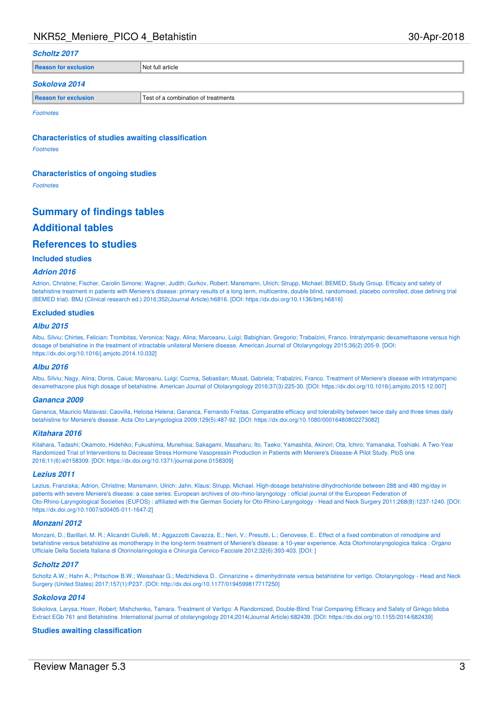### **Scholtz 2017**

**Reason for exclusion** Not full article

#### **Sokolova 2014**

| <b>Reason</b> | lest of a                    |
|---------------|------------------------------|
| - - - - - -   | a combination of treatments. |

**Footnotes** 

**Characteristics of studies awaiting classification**

Footnotes

#### **Characteristics of ongoing studies**

Footnotes

# **Summary of findings tables Additional tables References to studies**

### **Included studies**

### **Adrion 2016**

Adrion, Christine; Fischer, Carolin Simone; Wagner, Judith; Gurkov, Robert; Mansmann, Ulrich; Strupp, Michael; BEMED, Study Group. Efficacy and safety of betahistine treatment in patients with Meniere's disease: primary results of a long term, multicentre, double blind, randomised, placebo controlled, dose defining trial (BEMED trial). BMJ (Clinical research ed.) 2016;352(Journal Article):h6816. [DOI: https://dx.doi.org/10.1136/bmj.h6816]

#### **Excluded studies**

### **Albu 2015**

Albu, Silviu; Chirtes, Felician; Trombitas, Veronica; Nagy, Alina; Marceanu, Luigi; Babighian, Gregorio; Trabalzini, Franco. Intratympanic dexamethasone versus high dosage of betahistine in the treatment of intractable unilateral Meniere disease. American Journal of Otolaryngology 2015;36(2):205-9. [DOI: https://dx.doi.org/10.1016/j.amjoto.2014.10.032]

#### **Albu 2016**

Albu, Silviu; Nagy, Alina; Doros, Caius; Marceanu, Luigi; Cozma, Sebastian; Musat, Gabriela; Trabalzini, Franco. Treatment of Meniere's disease with intratympanic dexamethazone plus high dosage of betahistine. American Journal of Otolaryngology 2016;37(3):225-30. [DOI: https://dx.doi.org/10.1016/j.amjoto.2015.12.007]

#### **Gananca 2009**

Gananca, Mauricio Malavasi; Caovilla, Heloisa Helena; Gananca, Fernando Freitas. Comparable efficacy and tolerability between twice daily and three times daily betahistine for Meniere's disease. Acta Oto-Laryngologica 2009;129(5):487-92. [DOI: https://dx.doi.org/10.1080/00016480802273082]

#### **Kitahara 2016**

Kitahara, Tadashi; Okamoto, Hidehiko; Fukushima, Munehisa; Sakagami, Masaharu; Ito, Taeko; Yamashita, Akinori; Ota, Ichiro; Yamanaka, Toshiaki. A Two-Year Randomized Trial of Interventions to Decrease Stress Hormone Vasopressin Production in Patients with Meniere's Disease-A Pilot Study. PloS one 2016;11(6):e0158309. [DOI: https://dx.doi.org/10.1371/journal.pone.0158309]

#### **Lezius 2011**

Lezius, Franziska; Adrion, Christine; Mansmann, Ulrich; Jahn, Klaus; Strupp, Michael. High-dosage betahistine dihydrochloride between 288 and 480 mg/day in patients with severe Meniere's disease: a case series. European archives of oto-rhino-laryngology : official journal of the European Federation of Oto-Rhino-Laryngological Societies (EUFOS) : affiliated with the German Society for Oto-Rhino-Laryngology - Head and Neck Surgery 2011;268(8):1237-1240. [DOI: https://dx.doi.org/10.1007/s00405-011-1647-2]

### **Monzani 2012**

Monzani, D.; Barillari, M. R.; Alicandri Ciufelli, M.; Aggazzotti Cavazza, E.; Neri, V.; Presutti, L.; Genovese, E.. Effect of a fixed combination of nimodipine and betahistine versus betahistine as monotherapy in the long-term treatment of Meniere's disease: a 10-year experience. Acta Otorhinolaryngologica Italica : Organo Ufficiale Della Societa Italiana di Otorinolaringologia e Chirurgia Cervico-Facciale 2012;32(6):393-403. [DOI: ]

### **Scholtz 2017**

Scholtz A.W.; Hahn A.; Pritschow B.W.; Weisshaar G.; Medzhidieva D.. Cinnarizine + dimenhydrinate versus betahistine for vertigo. Otolaryngology - Head and Neck Surgery (United States) 2017;157(1):P237. [DOI: http://dx.doi.org/10.1177/0194599817717250]

#### **Sokolova 2014**

Sokolova, Larysa; Hoerr, Robert; Mishchenko, Tamara. Treatment of Vertigo: A Randomized, Double-Blind Trial Comparing Efficacy and Safety of Ginkgo biloba Extract EGb 761 and Betahistine. International journal of otolaryngology 2014;2014(Journal Article):682439. [DOI: https://dx.doi.org/10.1155/2014/682439]

### **Studies awaiting classification**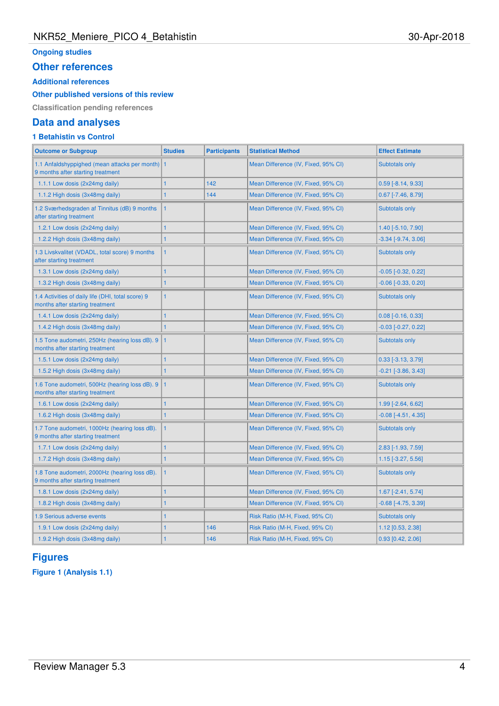## **Ongoing studies**

### **Other references**

### **Additional references**

### **Other published versions of this review**

**Classification pending references**

# **Data and analyses**

# **1 Betahistin vs Control**

| <b>Outcome or Subgroup</b>                                                           | <b>Studies</b> | <b>Participants</b> | <b>Statistical Method</b>           | <b>Effect Estimate</b>    |
|--------------------------------------------------------------------------------------|----------------|---------------------|-------------------------------------|---------------------------|
| 1.1 Anfaldshyppighed (mean attacks per month) 1<br>9 months after starting treatment |                |                     | Mean Difference (IV, Fixed, 95% CI) | Subtotals only            |
| 1.1.1 Low dosis (2x24mg daily)                                                       | $\overline{1}$ | 142                 | Mean Difference (IV, Fixed, 95% CI) | $0.59$ [-8.14, 9.33]      |
| 1.1.2 High dosis (3x48mg daily)                                                      | $\overline{1}$ | 144                 | Mean Difference (IV, Fixed, 95% CI) | $0.67$ [-7.46, 8.79]      |
| 1.2 Sværhedsgraden af Tinnitus (dB) 9 months<br>after starting treatment             | $\overline{1}$ |                     | Mean Difference (IV, Fixed, 95% CI) | Subtotals only            |
| 1.2.1 Low dosis (2x24mg daily)                                                       | $\mathbf{1}$   |                     | Mean Difference (IV, Fixed, 95% CI) | 1.40 [-5.10, 7.90]        |
| 1.2.2 High dosis (3x48mg daily)                                                      | 1              |                     | Mean Difference (IV, Fixed, 95% CI) | $-3.34$ $[-9.74, 3.06]$   |
| 1.3 Livskvalitet (VDADL, total score) 9 months<br>after starting treatment           | $\overline{1}$ |                     | Mean Difference (IV, Fixed, 95% CI) | <b>Subtotals only</b>     |
| 1.3.1 Low dosis (2x24mg daily)                                                       | $\mathbf{1}$   |                     | Mean Difference (IV, Fixed, 95% CI) | $-0.05$ $[-0.32, 0.22]$   |
| 1.3.2 High dosis (3x48mg daily)                                                      | 1              |                     | Mean Difference (IV, Fixed, 95% CI) | $-0.06$ $[-0.33, 0.20]$   |
| 1.4 Activities of daily life (DHI, total score) 9<br>months after starting treatment | $\mathbf{1}$   |                     | Mean Difference (IV, Fixed, 95% CI) | Subtotals only            |
| 1.4.1 Low dosis (2x24mg daily)                                                       | $\mathbf{1}$   |                     | Mean Difference (IV, Fixed, 95% CI) | $0.08$ [-0.16, 0.33]      |
| 1.4.2 High dosis (3x48mg daily)                                                      | $\mathbf{1}$   |                     | Mean Difference (IV, Fixed, 95% CI) | $-0.03$ $[-0.27, 0.22]$   |
| 1.5 Tone audometri, 250Hz (hearing loss dB). 9<br>months after starting treatment    | 1              |                     | Mean Difference (IV, Fixed, 95% CI) | Subtotals only            |
| 1.5.1 Low dosis (2x24mg daily)                                                       | 1              |                     | Mean Difference (IV, Fixed, 95% CI) | $0.33$ [-3.13, 3.79]      |
| 1.5.2 High dosis (3x48mg daily)                                                      | $\mathbf{1}$   |                     | Mean Difference (IV, Fixed, 95% CI) | -0.21 [-3.86, 3.43]       |
| 1.6 Tone audometri, 500Hz (hearing loss dB). 9<br>months after starting treatment    | $\overline{1}$ |                     | Mean Difference (IV, Fixed, 95% CI) | Subtotals only            |
| 1.6.1 Low dosis (2x24mg daily)                                                       | 1              |                     | Mean Difference (IV, Fixed, 95% CI) | 1.99 [-2.64, 6.62]        |
| 1.6.2 High dosis (3x48mg daily)                                                      | $\mathbf{1}$   |                     | Mean Difference (IV, Fixed, 95% CI) | $-0.08$ $[-4.51, 4.35]$   |
| 1.7 Tone audometri, 1000Hz (hearing loss dB).<br>9 months after starting treatment   | $\overline{1}$ |                     | Mean Difference (IV, Fixed, 95% CI) | Subtotals only            |
| 1.7.1 Low dosis (2x24mg daily)                                                       | $\overline{1}$ |                     | Mean Difference (IV, Fixed, 95% CI) | $2.83$ [-1.93, 7.59]      |
| 1.7.2 High dosis (3x48mg daily)                                                      | 1              |                     | Mean Difference (IV, Fixed, 95% CI) | $1.15$ [-3.27, 5.56]      |
| 1.8 Tone audometri, 2000Hz (hearing loss dB).<br>9 months after starting treatment   | 1              |                     | Mean Difference (IV, Fixed, 95% CI) | Subtotals only            |
| 1.8.1 Low dosis (2x24mg daily)                                                       | 1              |                     | Mean Difference (IV, Fixed, 95% CI) | 1.67 [-2.41, 5.74]        |
| 1.8.2 High dosis (3x48mg daily)                                                      | 1              |                     | Mean Difference (IV, Fixed, 95% CI) | $-0.68$ [ $-4.75, 3.39$ ] |
| <b>1.9 Serious adverse events</b>                                                    | $\mathbf{1}$   |                     | Risk Ratio (M-H, Fixed, 95% CI)     | <b>Subtotals only</b>     |
| 1.9.1 Low dosis (2x24mg daily)                                                       | $\overline{1}$ | 146                 | Risk Ratio (M-H, Fixed, 95% CI)     | 1.12 [0.53, 2.38]         |
| 1.9.2 High dosis (3x48mg daily)                                                      | $\mathbf{1}$   | 146                 | Risk Ratio (M-H, Fixed, 95% CI)     | $0.93$ [0.42, 2.06]       |
|                                                                                      |                |                     |                                     |                           |

# **Figures**

**Figure 1 (Analysis 1.1)**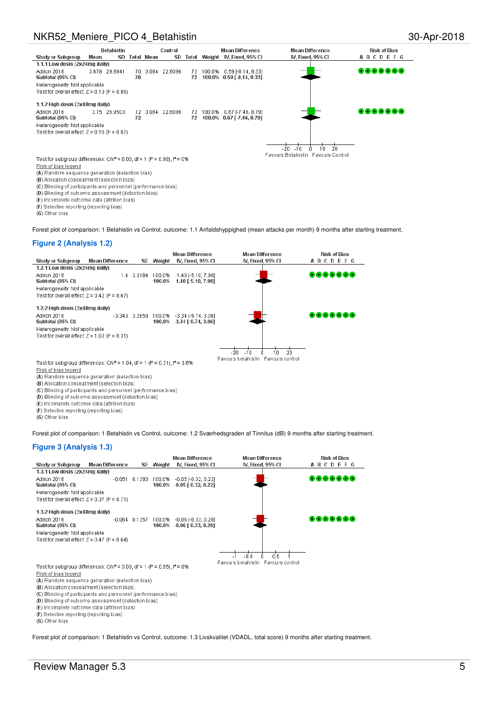

(D) Blinding of outcome assessment (detection bias)

(E) Incomplete outcome data (attrition bias)

(F) Selective reporting (reporting bias)

(G) Other bias

Forest plot of comparison: 1 Betahistin vs Control, outcome: 1.1 Anfaldshyppighed (mean attacks per month) 9 months after starting treatment.

### **Figure 2 (Analysis 1.2)**

|                                                                                        |                        |                 |                  | <b>Mean Difference</b>                               | <b>Mean Difference</b>             | <b>Risk of Bias</b> |
|----------------------------------------------------------------------------------------|------------------------|-----------------|------------------|------------------------------------------------------|------------------------------------|---------------------|
| <b>Study or Subgroup</b>                                                               | <b>Mean Difference</b> | SE.             | Weight           | IV. Fixed, 95% CI                                    | IV. Fixed, 95% CI                  | <b>ABCDEFG</b>      |
| 1.2.1 Low dosis (2x24mg daily)                                                         |                        |                 |                  |                                                      |                                    |                     |
| Adrion 2016<br>Subtotal (95% CI)                                                       |                        | 1.4 3.3184      | 100.0%<br>100.0% | 1.40 [-5.10, 7.90]<br>1.40 [-5.10, 7.90]             |                                    | 8888888             |
| Heterogeneity: Not applicable                                                          |                        |                 |                  |                                                      |                                    |                     |
| Test for overall effect: $Z = 0.42$ (P = 0.67)                                         |                        |                 |                  |                                                      |                                    |                     |
| 1.2.2 High dosis (3x48mg daily)                                                        |                        |                 |                  |                                                      |                                    |                     |
| Adrion 2016<br>Subtotal (95% CI)                                                       |                        | $-3.343$ 3.2659 | 100.0%<br>100.0% | $-3.34$ $[-9.74, 3.06]$<br>$-3.34$ [ $-9.74$ , 3.06] |                                    | 8888888             |
| Heterogeneity: Not applicable<br>Test for overall effect: $Z = 1.02$ (P = 0.31)        |                        |                 |                  |                                                      |                                    |                     |
|                                                                                        |                        |                 |                  |                                                      |                                    |                     |
|                                                                                        |                        |                 |                  |                                                      | 20<br>$-20$<br>$-10$<br>10         |                     |
| Test for subgroup differences: Chi <sup>2</sup> = 1.04, df = 1 (P = 0.31), $P = 3.6\%$ |                        |                 |                  |                                                      | Favours betahistin Favours control |                     |

Risk of bias legend

(A) Random sequence generation (selection bias)

(B) Allocation concealment (selection bias)

(C) Blinding of participants and personnel (performance bias)

(D) Blinding of outcome assessment (detection bias)

(E) Incomplete outcome data (attrition bias)

(F) Selective reporting (reporting bias)

(G) Other bias

Forest plot of comparison: 1 Betahistin vs Control, outcome: 1.2 Sværhedsgraden af Tinnitus (dB) 9 months after starting treatment.

### **Figure 3 (Analysis 1.3)**

|                                                                                      |                        |                  | <b>Mean Difference</b>                                | <b>Mean Difference</b>             | <b>Risk of Bias</b> |
|--------------------------------------------------------------------------------------|------------------------|------------------|-------------------------------------------------------|------------------------------------|---------------------|
| <b>Study or Subgroup</b>                                                             | <b>Mean Difference</b> | <b>SE</b> Weight | IV, Fixed, 95% CI                                     | IV, Fixed, 95% CI                  | <b>ABCDEFG</b>      |
| 1.3.1 Low dosis (2x24mg daily)                                                       |                        |                  |                                                       |                                    |                     |
| Adrion 2016                                                                          |                        |                  | -0.051 0.1393 100.0% -0.05 [-0.32, 0.22]              |                                    | 888888              |
| Subtotal (95% CI)                                                                    |                        |                  | 100.0% -0.05 [-0.32, 0.22]                            |                                    |                     |
| Heterogeneity: Not applicable                                                        |                        |                  |                                                       |                                    |                     |
| Test for overall effect: $Z = 0.37$ (P = 0.71)                                       |                        |                  |                                                       |                                    |                     |
| 1.3.2 High dosis (3x48mg daily)                                                      |                        |                  |                                                       |                                    |                     |
| Adrion 2016                                                                          |                        |                  | $-0.064$ $0.1357$ $100.0\%$ $-0.06$ $-0.33$ , $0.201$ |                                    | 8888888             |
| Subtotal (95% CI)                                                                    |                        |                  | 100.0% -0.06 [-0.33, 0.20]                            |                                    |                     |
| Heterogeneity: Not applicable                                                        |                        |                  |                                                       |                                    |                     |
| Test for overall effect: $Z = 0.47$ (P = 0.64)                                       |                        |                  |                                                       |                                    |                     |
|                                                                                      |                        |                  |                                                       |                                    |                     |
|                                                                                      |                        |                  |                                                       | 0.5<br>-0.5                        |                     |
| Test for subgroup differences: Chi <sup>2</sup> = 0.00, df = 1 (P = 0.95), $P = 0\%$ |                        |                  |                                                       | Favours betahistin Favours control |                     |
| Risk of bias legend                                                                  |                        |                  |                                                       |                                    |                     |
| (A) Random sequence generation (selection bias)                                      |                        |                  |                                                       |                                    |                     |
| (B) Allocation concealment (selection bias)                                          |                        |                  |                                                       |                                    |                     |
| (C) Blinding of participants and personnel (performance bias)                        |                        |                  |                                                       |                                    |                     |
| (D) Blinding of outcome assessment (detection bias)                                  |                        |                  |                                                       |                                    |                     |
| (E) Incomplete outcome data (attrition bias)                                         |                        |                  |                                                       |                                    |                     |
| (F) Selective reporting (reporting bias)                                             |                        |                  |                                                       |                                    |                     |
| (G) Other bias                                                                       |                        |                  |                                                       |                                    |                     |
|                                                                                      |                        |                  |                                                       |                                    |                     |

Forest plot of comparison: 1 Betahistin vs Control, outcome: 1.3 Livskvalitet (VDADL, total score) 9 months after starting treatment.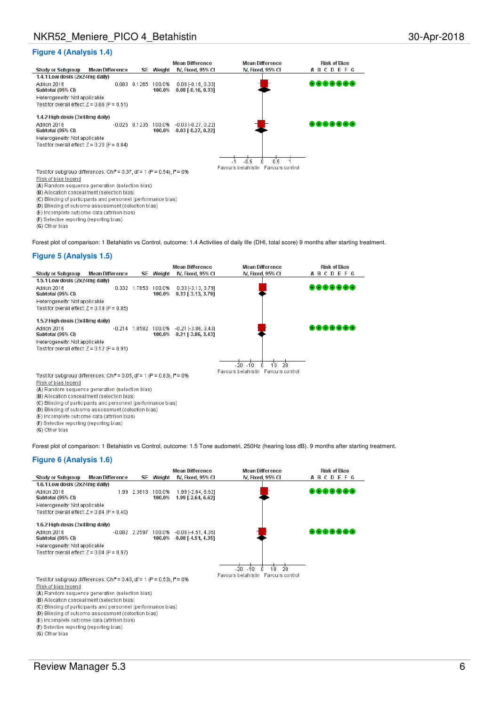### **Figure 4 (Analysis 1.4)**



Risk of bias legend

(A) Random sequence generation (selection bias)

(B) Allocation concealment (selection bias)

(C) Blinding of participants and personnel (performance bias)

(D) Blinding of outcome assessment (detection bias)

(E) Incomplete outcome data (attrition bias)

(F) Selective reporting (reporting bias)

(G) Other bias

Forest plot of comparison: 1 Betahistin vs Control, outcome: 1.4 Activities of daily life (DHI, total score) 9 months after starting treatment.

### **Figure 5 (Analysis 1.5)**



(A) Random sequence generation (selection bias)

(B) Allocation concealment (selection bias)

(C) Blinding of participants and personnel (performance bias)

(D) Blinding of outcome assessment (detection bias)

(E) Incomplete outcome data (attrition bias)

(F) Selective reporting (reporting bias)

(G) Other bias

Forest plot of comparison: 1 Betahistin vs Control, outcome: 1.5 Tone audometri, 250Hz (hearing loss dB). 9 months after starting treatment.

### **Figure 6 (Analysis 1.6)**

|                                                                                        |                        |                 |                  | <b>Mean Difference</b>                   | <b>Mean Difference</b>             | <b>Risk of Bias</b> |
|----------------------------------------------------------------------------------------|------------------------|-----------------|------------------|------------------------------------------|------------------------------------|---------------------|
| <b>Study or Subgroup</b>                                                               | <b>Mean Difference</b> | SE.             | Weight           | IV, Fixed, 95% Cl                        | IV, Fixed, 95% CI                  | <b>ABCDEFG</b>      |
| 1.6.1 Low dosis (2x24mg daily)                                                         |                        |                 |                  |                                          |                                    |                     |
| Adrion 2016<br>Subtotal (95% CI)                                                       |                        | 1.99 2.3618     | 100.0%<br>100.0% | 1.99 [-2.64, 6.62]<br>1.99 [-2.64, 6.62] |                                    | @@@@@@              |
| Heterogeneity: Not applicable                                                          |                        |                 |                  |                                          |                                    |                     |
| Test for overall effect: $Z = 0.84$ (P = 0.40)                                         |                        |                 |                  |                                          |                                    |                     |
| 1.6.2 High dosis (3x48mg daily)                                                        |                        |                 |                  |                                          |                                    |                     |
| Adrion 2016                                                                            |                        | $-0.082$ 2.2597 | 100.0%           | $-0.08$ [-4.51, 4.35]                    |                                    |                     |
| Subtotal (95% CI)                                                                      |                        |                 |                  | 100.0% -0.08 [-4.51, 4.35]               |                                    |                     |
| Heterogeneity: Not applicable                                                          |                        |                 |                  |                                          |                                    |                     |
| Test for overall effect: $Z = 0.04$ (P = 0.97)                                         |                        |                 |                  |                                          |                                    |                     |
|                                                                                        |                        |                 |                  |                                          |                                    |                     |
|                                                                                        |                        |                 |                  |                                          | -20<br>2Ω<br>$-10$<br>10           |                     |
|                                                                                        |                        |                 |                  |                                          | Favours betahistin Favours control |                     |
| Test for subgroup differences: Chi <sup>2</sup> = 0.40, df = 1 (P = 0.53), $I^2 = 0\%$ |                        |                 |                  |                                          |                                    |                     |
| Risk of bias legend                                                                    |                        |                 |                  |                                          |                                    |                     |
| (A) Random sequence generation (selection bias)                                        |                        |                 |                  |                                          |                                    |                     |
| (B) Allocation concealment (selection bias)                                            |                        |                 |                  |                                          |                                    |                     |
| (C) Blinding of participants and personnel (performance bias)                          |                        |                 |                  |                                          |                                    |                     |
| (D) Blinding of outcome assessment (detection bias)                                    |                        |                 |                  |                                          |                                    |                     |
| (E) Incomplete outcome data (attrition bias)                                           |                        |                 |                  |                                          |                                    |                     |

(F) Selective reporting (reporting bias)

(G) Other bias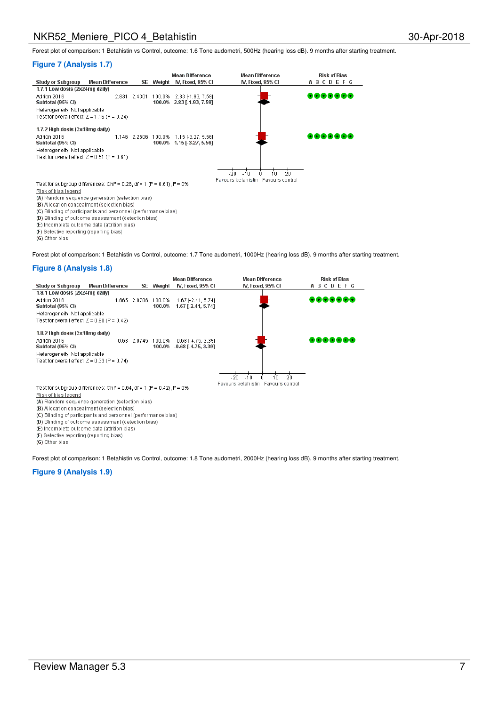Forest plot of comparison: 1 Betahistin vs Control, outcome: 1.6 Tone audometri, 500Hz (hearing loss dB). 9 months after starting treatment.

### **Figure 7 (Analysis 1.7)**

|                                                                                                |                        |              | <b>Mean Difference</b>    | <b>Mean Difference</b>             | <b>Risk of Bias</b> |
|------------------------------------------------------------------------------------------------|------------------------|--------------|---------------------------|------------------------------------|---------------------|
| <b>Study or Subgroup</b>                                                                       | <b>Mean Difference</b> | SE.          | Weight N. Fixed, 95% CI   | IV. Fixed, 95% CI                  | <b>ABCDEFG</b>      |
| 1.7.1 Low dosis (2x24mg daily)                                                                 |                        |              |                           |                                    |                     |
| Adrion 2016                                                                                    |                        | 2.831 2.4301 | 100.0% 2.83 [-1.93, 7.59] |                                    |                     |
| Subtotal (95% CI)                                                                              |                        |              | 100.0% 2.83 [-1.93, 7.59] |                                    |                     |
| Heterogeneity: Not applicable                                                                  |                        |              |                           |                                    |                     |
| Test for overall effect: $Z = 1.16$ (P = 0.24)                                                 |                        |              |                           |                                    |                     |
| 1.7.2 High dosis (3x48mg daily)                                                                |                        |              |                           |                                    |                     |
| Adrion 2016                                                                                    | 1.146                  | 2.2506       | 100.0% 1.15 [-3.27, 5.56] |                                    |                     |
| Subtotal (95% CI)                                                                              |                        |              | 100.0% 1.15 [-3.27, 5.56] |                                    |                     |
| Heterogeneity: Not applicable                                                                  |                        |              |                           |                                    |                     |
| Test for overall effect: $Z = 0.51$ (P = 0.61)                                                 |                        |              |                           |                                    |                     |
|                                                                                                |                        |              |                           |                                    |                     |
|                                                                                                |                        |              |                           | -20<br>20<br>$-10$<br>10           |                     |
|                                                                                                |                        |              |                           | Favours betahistin Favours control |                     |
| Test for subgroup differences: Chi <sup>2</sup> = 0.26, df = 1 (P = 0.61), l <sup>2</sup> = 0% |                        |              |                           |                                    |                     |
| Risk of bias legend                                                                            |                        |              |                           |                                    |                     |
| (A) Random sequence generation (selection bias)                                                |                        |              |                           |                                    |                     |
| (D) Allocation consociment (polection bigg).                                                   |                        |              |                           |                                    |                     |

location concealment (selection bias)

(C) Blinding of participants and personnel (performance bias)

(D) Blinding of outcome assessment (detection bias)

(E) Incomplete outcome data (attrition bias)

(F) Selective reporting (reporting bias)

(G) Other bias

Forest plot of comparison: 1 Betahistin vs Control, outcome: 1.7 Tone audometri, 1000Hz (hearing loss dB). 9 months after starting treatment.

### **Figure 8 (Analysis 1.8)**



(A) Random sequence generation (selection bias)<br>(B) Allocation concealment (selection bias)

(C) Blinding of participants and personnel (performance bias)

(D) Blinding of outcome assessment (detection bias)

(E) Incomplete outcome data (attrition bias)

(F) Selective reporting (reporting bias)

(G) Other bias

Forest plot of comparison: 1 Betahistin vs Control, outcome: 1.8 Tone audometri, 2000Hz (hearing loss dB). 9 months after starting treatment.

### **Figure 9 (Analysis 1.9)**